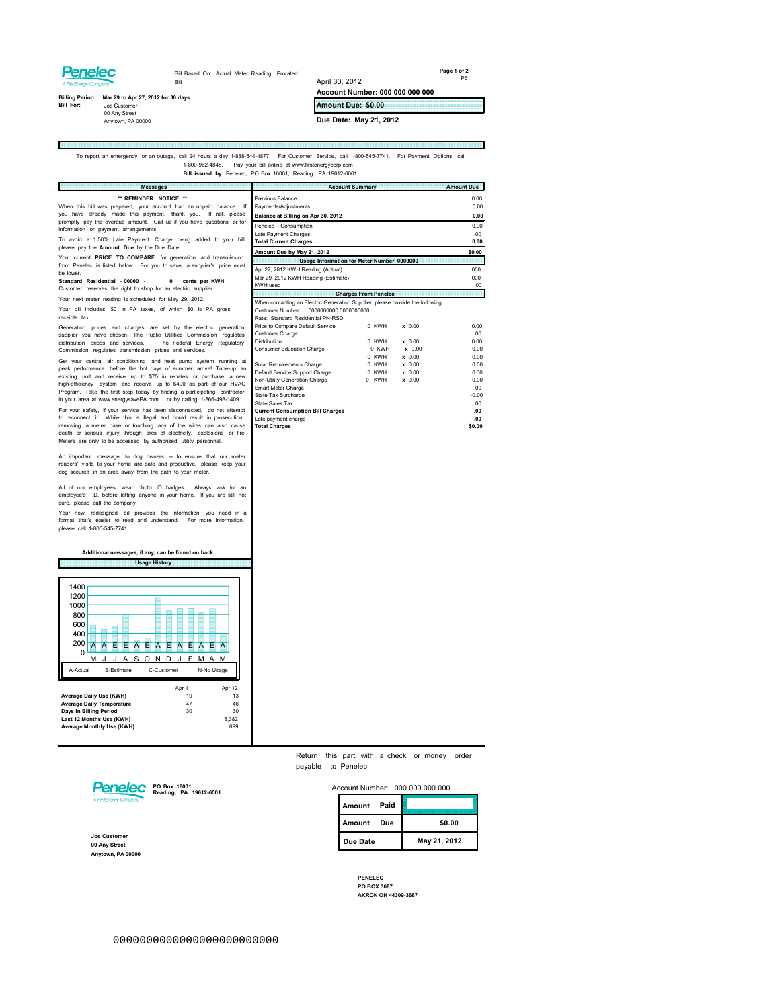## **Penelec**

E

Bill Based On: Actual Meter Reading, Prorated Bill

**Page 1 of 2** P61

m)

## **Bill For: Billing Period: Mar 29 to Apr 27, 2012 for 30 days** Joe Customer

00 Any Street Anytown, PA 00000

**Amount Due: \$0.00**

**Account Number: 000 000 000 000**

**Due Date: May 21, 2012**

April 30, 2012

## To report an emergency or an outage, call 24 hours a day 1-888-544-4877. For Customer Service, call 1-800-545-7741. For Payment Options, call<br>1-800-962-4948. Pay your bill online at www.firstenergycorp.com<br>Bill issued by:

| <b>Messages</b>                                                                                                                                                                                                                                                                                                                                                                                                                                                                                                                                                                                                                                                                                                                           | <b>Account Summary</b>                                                                                                                                                                                                                                                                                                                      | <b>Amount Due</b>                                                                  |
|-------------------------------------------------------------------------------------------------------------------------------------------------------------------------------------------------------------------------------------------------------------------------------------------------------------------------------------------------------------------------------------------------------------------------------------------------------------------------------------------------------------------------------------------------------------------------------------------------------------------------------------------------------------------------------------------------------------------------------------------|---------------------------------------------------------------------------------------------------------------------------------------------------------------------------------------------------------------------------------------------------------------------------------------------------------------------------------------------|------------------------------------------------------------------------------------|
| ** REMINDER NOTICE **<br>When this bill was prepared, your account had an unpaid balance. If<br>you have already made this payment, thank you. If not, please                                                                                                                                                                                                                                                                                                                                                                                                                                                                                                                                                                             | Previous Balance<br>Payments/Adjustments<br>Balance at Billing on Apr 30, 2012                                                                                                                                                                                                                                                              | 0.00<br>0.00<br>0.00                                                               |
| promptly pay the overdue amount. Call us if you have questions or for<br>information on payment arrangements.<br>To avoid a 1.50% Late Payment Charge being added to your bill,                                                                                                                                                                                                                                                                                                                                                                                                                                                                                                                                                           | Penelec - Consumption<br>Late Payment Charges<br><b>Total Current Charges</b>                                                                                                                                                                                                                                                               | 0.00<br>.00<br>0.00                                                                |
| please pay the Amount Due by the Due Date.                                                                                                                                                                                                                                                                                                                                                                                                                                                                                                                                                                                                                                                                                                | Amount Due by May 21, 2012                                                                                                                                                                                                                                                                                                                  | \$0.00                                                                             |
| Your current PRICE TO COMPARE for generation and transmission                                                                                                                                                                                                                                                                                                                                                                                                                                                                                                                                                                                                                                                                             | Usage Information for Meter Number 0000000                                                                                                                                                                                                                                                                                                  |                                                                                    |
| from Penelec is listed below. For you to save, a supplier's price must<br>he lower.<br>Standard Residential - 00000 -<br>cents per KWH<br>$\mathbf{0}$<br>Customer reserves the right to shop for an electric supplier.                                                                                                                                                                                                                                                                                                                                                                                                                                                                                                                   | Apr 27, 2012 KWH Reading (Actual)<br>Mar 29, 2012 KWH Reading (Estimate)<br>KWH used                                                                                                                                                                                                                                                        | 000<br>000<br>00                                                                   |
| Your next meter reading is scheduled for May 29, 2012.                                                                                                                                                                                                                                                                                                                                                                                                                                                                                                                                                                                                                                                                                    | <b>Charges From Penelec</b>                                                                                                                                                                                                                                                                                                                 |                                                                                    |
| Your bill includes \$0 in PA taxes, of which \$0 is PA gross<br>receipts tax.                                                                                                                                                                                                                                                                                                                                                                                                                                                                                                                                                                                                                                                             | When contacting an Electric Generation Supplier, please provide the following.<br>Customer Number: 0000000000 0000000000<br>Rate: Standard Residential PN-RSD                                                                                                                                                                               |                                                                                    |
| Generation prices and charges are set by the electric generation<br>supplier you have chosen. The Public Utilities Commission regulates<br>distribution prices and services.<br>The Federal Energy Regulatory<br>Commission regulates transmission prices and services.                                                                                                                                                                                                                                                                                                                                                                                                                                                                   | Price to Compare Default Service<br>0 KWH<br>$x$ 0.00<br>Customer Charge<br>$\times 0.00$<br><b>Distribution</b><br>0 KWH<br>Consumer Education Charge<br>0 KWH<br>$\times$ 0.00                                                                                                                                                            | 0.00<br>.00.<br>0.00<br>0.00                                                       |
| Get your central air conditioning and heat pump system running at<br>peak performance before the hot days of summer arrive! Tune-up an<br>existing unit and receive up to \$75 in rebates or purchase a new<br>high-efficiency system and receive up to \$400 as part of our HVAC<br>Program. Take the first step today by finding a participating contractor<br>in your area at www.energysavePA.com or by calling 1-866-498-1409.<br>For your safety, if your service has been disconnected, do not attempt<br>to reconnect it. While this is illegal and could result in prosecution,<br>removing a meter base or touching any of the wires can also cause<br>death or serious injury through arcs of electricity, explosions or fire. | 0 KWH<br>x 0.00<br>Solar Requirements Charge<br>0 KWH<br>$\times$ 0.00<br>Default Service Support Charge<br>0 KWH<br>$x$ 0.00<br>Non-Utility Generation Charge<br>0 KWH<br>x 0.00<br>Smart Meter Charge<br>State Tax Surcharge<br>State Sales Tax<br><b>Current Consumption Bill Charges</b><br>Late payment charge<br><b>Total Charges</b> | 0.00<br>0.00<br>0.00<br>0.00<br>.00.<br>$-0.00$<br>$00 -$<br>.00<br>.00.<br>\$0.00 |
| Meters are only to be accessed by authorized utility personnel.                                                                                                                                                                                                                                                                                                                                                                                                                                                                                                                                                                                                                                                                           |                                                                                                                                                                                                                                                                                                                                             |                                                                                    |

All of our employees wear photo ID badges. Always ask for an employee's I.D. before letting anyone in your home. If you are still not sure, please call the company.

An important message to dog owners -- to ensure that our meter readers' visits to your home are safe and productive, please keep your dog secured in an area away from the path to your meter.

Your new, redesigned bill provides the information you need in a format that's easier to read and understand. For more information, please call 1-800-545-7741.

**Usage History Additional messages, if any, can be found on back.**

|                                                                                                                                                |   |  |            |  |  | <b>Usage History</b> |   |            |                |  |        |   |                                          |  |  |
|------------------------------------------------------------------------------------------------------------------------------------------------|---|--|------------|--|--|----------------------|---|------------|----------------|--|--------|---|------------------------------------------|--|--|
| 1400<br>1200<br>1000<br>800<br>600<br>400<br>200<br>0<br>A-Actual                                                                              | м |  | E-Estimate |  |  |                      | Δ | C-Customer |                |  | A<br>м | Е | м<br>N-No Usage                          |  |  |
| Average Daily Use (KWH)<br><b>Average Daily Temperature</b><br>Days in Billing Period<br>Last 12 Months Use (KWH)<br>Average Monthly Use (KWH) |   |  |            |  |  |                      |   | Apr 11     | 19<br>47<br>30 |  |        |   | Apr 12<br>13<br>46<br>30<br>8,382<br>699 |  |  |



**Joe Customer 00 Any Street Anytown, PA 00000**

|                    |  |  |  | Return this part with a check or money order |  |
|--------------------|--|--|--|----------------------------------------------|--|
| payable to Penelec |  |  |  |                                              |  |

| Account Number: | 000 000 000 000 |  |
|-----------------|-----------------|--|
|                 |                 |  |

| Paid<br>Amount |              |
|----------------|--------------|
| Amount<br>Due  | \$0.00       |
| Due Date       | May 21, 2012 |

**PENELEC PO BOX 3687 AKRON OH 44309-3687**